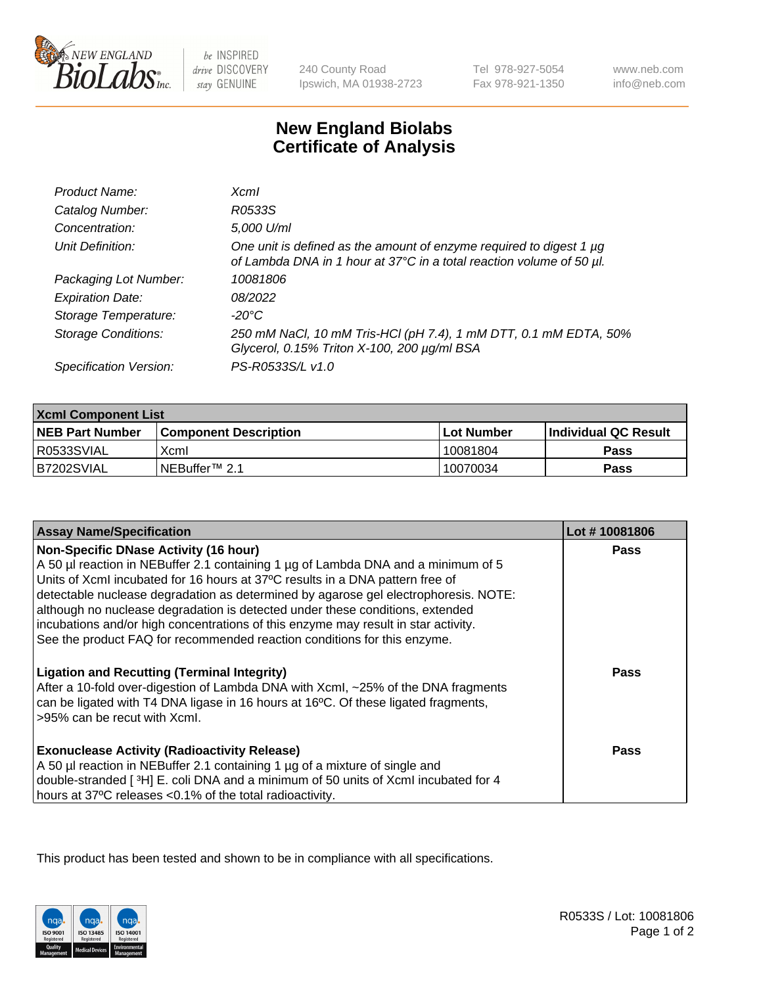

 $be$  INSPIRED drive DISCOVERY stay GENUINE

240 County Road Ipswich, MA 01938-2723 Tel 978-927-5054 Fax 978-921-1350

www.neb.com info@neb.com

## **New England Biolabs Certificate of Analysis**

| Product Name:              | $X$ cm $I$                                                                                                                                       |
|----------------------------|--------------------------------------------------------------------------------------------------------------------------------------------------|
| Catalog Number:            | R0533S                                                                                                                                           |
| Concentration:             | 5,000 U/ml                                                                                                                                       |
| Unit Definition:           | One unit is defined as the amount of enzyme required to digest 1 $\mu$ g<br>of Lambda DNA in 1 hour at 37°C in a total reaction volume of 50 µl. |
| Packaging Lot Number:      | 10081806                                                                                                                                         |
| <b>Expiration Date:</b>    | 08/2022                                                                                                                                          |
| Storage Temperature:       | -20°C                                                                                                                                            |
| <b>Storage Conditions:</b> | 250 mM NaCl, 10 mM Tris-HCl (pH 7.4), 1 mM DTT, 0.1 mM EDTA, 50%<br>Glycerol, 0.15% Triton X-100, 200 µg/ml BSA                                  |
| Specification Version:     | PS-R0533S/L v1.0                                                                                                                                 |

| <b>Xcml Component List</b> |                            |              |                             |  |
|----------------------------|----------------------------|--------------|-----------------------------|--|
| <b>NEB Part Number</b>     | l Component Description    | l Lot Number | <b>Individual QC Result</b> |  |
| R0533SVIAL                 | Xcml                       | 10081804     | Pass                        |  |
| B7202SVIAL                 | INEBuffer <sup>™</sup> 2.1 | 10070034     | Pass                        |  |

| <b>Assay Name/Specification</b>                                                                                                                                                                                                                                                                                                                                                            | Lot #10081806 |
|--------------------------------------------------------------------------------------------------------------------------------------------------------------------------------------------------------------------------------------------------------------------------------------------------------------------------------------------------------------------------------------------|---------------|
| <b>Non-Specific DNase Activity (16 hour)</b><br>A 50 µl reaction in NEBuffer 2.1 containing 1 µg of Lambda DNA and a minimum of 5<br>Units of XcmI incubated for 16 hours at 37°C results in a DNA pattern free of<br>detectable nuclease degradation as determined by agarose gel electrophoresis. NOTE:<br>although no nuclease degradation is detected under these conditions, extended | <b>Pass</b>   |
| incubations and/or high concentrations of this enzyme may result in star activity.<br>See the product FAQ for recommended reaction conditions for this enzyme.                                                                                                                                                                                                                             |               |
| <b>Ligation and Recutting (Terminal Integrity)</b><br>After a 10-fold over-digestion of Lambda DNA with Xcml, ~25% of the DNA fragments<br>can be ligated with T4 DNA ligase in 16 hours at 16°C. Of these ligated fragments,<br>>95% can be recut with Xcml.                                                                                                                              | Pass          |
| <b>Exonuclease Activity (Radioactivity Release)</b><br>A 50 µl reaction in NEBuffer 2.1 containing 1 µg of a mixture of single and<br>double-stranded [3H] E. coli DNA and a minimum of 50 units of Xcml incubated for 4<br>hours at 37°C releases <0.1% of the total radioactivity.                                                                                                       | Pass          |

This product has been tested and shown to be in compliance with all specifications.